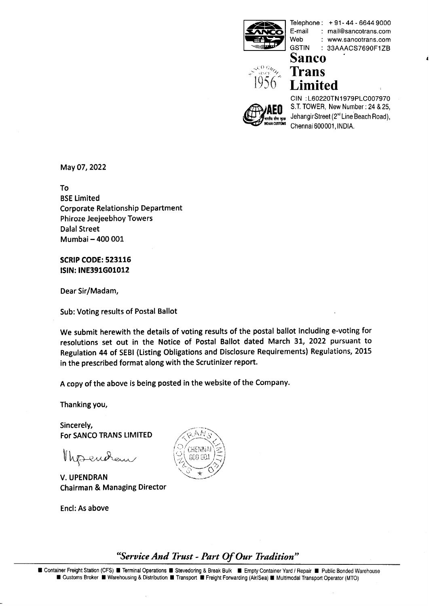

**GSTIN** 

Telephone:  $+91 - 44 - 66449000$ <br>F-mail mail@sancotrans.com E-mail : rnail@sancotrans.com : www.sancotrans.com : 33AAACS7690F1ZB



**Sanco**   $\frac{1}{2}$ <sup>o</sup><sub>2</sub>. **Trans**  $56$  Limited

CIN : L60220TN1979PLC007970<br>
S.T. TOWER, New Number : 24 & 25,<br>
JehangirStreet (2<sup>nd</sup> Line Beach Road), Chennai 600001, INDIA.

May 07,2022

To BSE Limited Corporate Relationship Department Phiroze Jeejeebhoy Towers Dalal Street Mumbai - 400 001

SCRIP CODE: 523116 ISIN: INE39lG01012

Dear Sir/Madam,

Sub: Voting results of Postal Ballot

We submit herewith the details of voting results of the postal ballot including e-voting for resolutions set out in the Notice of Postal Ballot dated March 31, 2022 pursuant to Regulation 44 of SEBl (Listing Obligations and Disclosure Requirements) Regulations, 2015 in the prescribed format along with the Scrutinizer report.

A copy of the above is being posted in the website of the Company.

Thanking you,

Sincerely,

Thesendem

V. UPENDRAN Chairman & Managing Director

Encl: As above



**The Freight Station (CFS)** Terminal Operations The Stevedoring & Break Bulk<br>
Inter Freight Station (CFS) Terminal Operations The Stevedoring & Break Bulk<br>
I Customs Broker II Warehousing & Distribution Transport The Freig **■ Container Freight Station (CFS) ■ Terminal Operations ■ Stevedoring & Break Bulk ■ Empty Container Yard / Repair ■ Public Bonded Warehouse ■ Customs Broker ■ Warehousing & Distribution ■ Transport ■ Freight Forwarding**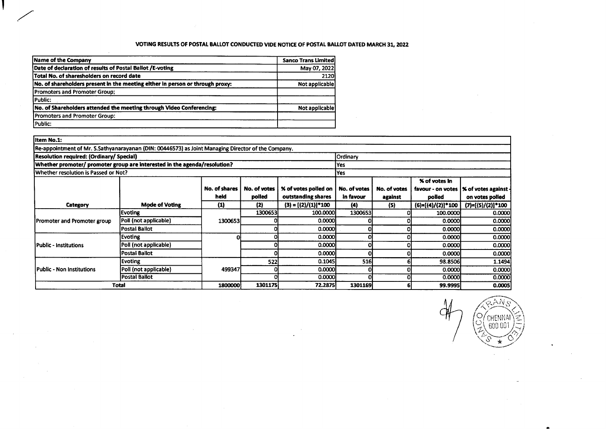# VOTING RESULTS OF POSTAL BALLOT CONDUCTED VIDE NOTICE OF POSTAL BAUOT DATED MARCH 31,2022

| Name of the Company                                                           | <b>Sanco Trans Limited</b> |
|-------------------------------------------------------------------------------|----------------------------|
| Date of declaration of results of Postal Ballot /E-voting                     | May 07, 2022               |
| Total No. of sharesholders on record date                                     | 2120                       |
| No. of shareholders present in the meeting either in person or through proxy: | Not applicable             |
| <b>Promoters and Promoter Group:</b>                                          |                            |
| Public:                                                                       |                            |
| No. of Shareholders attended the meeting through Video Conferencing:          | Not applicable)            |
| Promoters and Promoter Group:                                                 |                            |
| Public:                                                                       |                            |

 $\sim$ 

 $\sim$ 

| Item No.1:                                                                                         |                                                      |               |              |                        |              |              |                      |                                         |
|----------------------------------------------------------------------------------------------------|------------------------------------------------------|---------------|--------------|------------------------|--------------|--------------|----------------------|-----------------------------------------|
| Re-appointment of Mr. S.Sathyanarayanan (DIN: 00446573) as Joint Managing Director of the Company. |                                                      |               |              |                        |              |              |                      |                                         |
|                                                                                                    | Resolution required: (Ordinary/ Special)<br>Ordinary |               |              |                        |              |              |                      |                                         |
| Whether promoter/ promoter group are interested in the agenda/resolution?                          |                                                      |               |              |                        | Yes          |              |                      |                                         |
| Whether resolution is Passed or Not?                                                               |                                                      |               |              |                        | Yes          |              |                      |                                         |
|                                                                                                    |                                                      |               |              |                        |              |              | <b>% of votes in</b> |                                         |
|                                                                                                    |                                                      | No. of shares | No. of votes | % of votes polled on   | No. of votes | No. of votes |                      | favour - on votes  % of votes against - |
|                                                                                                    |                                                      | held          | polled       | outstanding shares     | in favour    | against      | polled               | on votes polled                         |
| Category                                                                                           | <b>Mode of Voting</b>                                | $\bf (1)$     | (2)          | $(3) = [(2)/(1)]$ *100 | (4)          | (5)          | $(6)=[(4)/(2)]*100$  | $(7)=[(5)/(2)]*100$                     |
|                                                                                                    | Evoting                                              |               | 1300653      | 100,0000               | 1300653      |              | 100.0000             | 0.0000                                  |
| <b>Promoter and Promoter group</b>                                                                 | Poll (not applicable)                                | 1300653       |              | 0.0000                 |              |              | 0.00001              | 0.0000                                  |
|                                                                                                    | <b>Postal Ballot</b>                                 |               |              | 0.0000                 |              |              | 0.00001              | 0.0000                                  |
|                                                                                                    | Evoting                                              | Οł            |              | 0.0000                 |              |              | 0.0000               | 0.0000                                  |
| Public - Institutions                                                                              | Poll (not applicable)                                |               |              | 0.0000                 |              |              | 0.0000               | 0.0000                                  |
|                                                                                                    | Postal Ballot                                        |               |              | 0.0000                 |              |              | 0.0000               | 0.0000                                  |
|                                                                                                    | Evoting                                              |               | 522          | 0.1045                 | 516          |              | 98.8506              | 1.1494                                  |
| Public - Non Institutions                                                                          | Poll (not applicable)                                | 499347        |              | 0.0000                 |              |              | 0.0000               | 0.0000                                  |
|                                                                                                    | <b>Postal Ballot</b>                                 |               |              | 0.0000                 |              |              | 0.0000               | 0.0000                                  |
|                                                                                                    | Total                                                | 1800000       | 1301175      | 72.2875                | 1301169      |              | 99.9995              | 0.0005                                  |

/၀ CHENNAI<br>, 600 001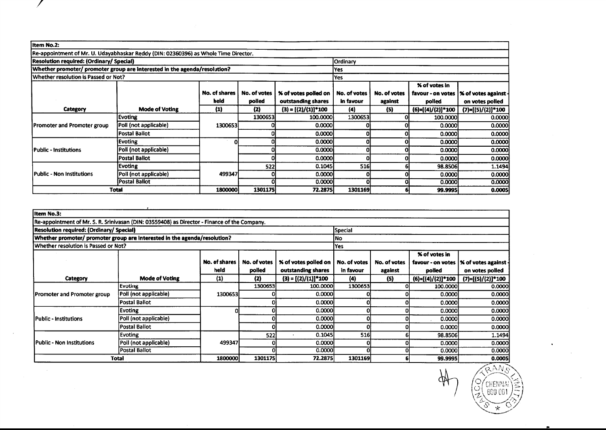| Item No.2:                                                                          |                       |               |              |                         |                 |                     |                   |                             |
|-------------------------------------------------------------------------------------|-----------------------|---------------|--------------|-------------------------|-----------------|---------------------|-------------------|-----------------------------|
| Re-appointment of Mr. U. Udayabhaskar Reddy (DIN: 02360396) as Whole Time Director. |                       |               |              |                         |                 |                     |                   |                             |
| <b>Resolution required: (Ordinary/ Special)</b>                                     |                       |               |              |                         | <b>Ordinary</b> |                     |                   |                             |
| Whether promoter/ promoter group are interested in the agenda/resolution?           |                       |               |              |                         | lYes            |                     |                   |                             |
| Whether resolution is Passed or Not?                                                |                       |               |              |                         | <b>Yes</b>      |                     |                   |                             |
|                                                                                     |                       |               |              |                         |                 |                     | % of votes in     |                             |
|                                                                                     |                       | No. of shares | No. of votes | % of votes polled on    | No. of votes    | <b>No. of votes</b> | favour - on votes | <b>% of votes against -</b> |
|                                                                                     |                       | held          | polled       | outstanding shares      | in favour       | against             | polled            | on votes polled             |
| Category                                                                            | <b>Mode of Voting</b> | $\bf(1)$      | (2)          | $(3) = [(2)/(1)]$ * 100 | (4)             | (5)                 | (6)=[(4)/(2)]*100 | $(7)=[(5)/(2)]*100$         |
|                                                                                     | <b>Evoting</b>        |               | 1300653      | 100,0000                | 1300653         |                     | 100.0000          | 0.0000                      |
| <b>Promoter and Promoter group</b>                                                  | Poll (not applicable) | 1300653       |              | 0.0000                  |                 |                     | 0.00001           | 0.0000                      |
|                                                                                     | Postal Ballot         |               |              | 0.0000                  |                 |                     | 0.0000            | 0.0000                      |
|                                                                                     | <b>Evoting</b>        |               |              | 0.0000                  |                 |                     | 0.0000            | 0.0000                      |
| Public - Institutions                                                               | Poll (not applicable) |               |              | 0.0000                  |                 |                     | 0.0000            | 0.0000                      |
|                                                                                     | Postal Ballot         |               |              | 0.0000                  |                 |                     | 0.0000            | 0.0000                      |
| Public - Non Institutions                                                           | <b>Evoting</b>        |               | 522          | 0.1045                  | 516             |                     | 98.8506           | 1.1494                      |
|                                                                                     | Poll (not applicable) | 499347        | Ol           | 0.0000                  |                 |                     | 0.0000            | 0.0000                      |
|                                                                                     | Postal Ballot         |               |              | 0.0000                  |                 |                     | 0.0000            | 0.0000                      |
|                                                                                     | Total                 | 18000001      | 1301175      | 72.2875                 | 1301169         |                     | 99.9995           | 0.0005                      |

| Item No.3:                                                                                   |                       |               |              |                             |              |              |                     |                                    |
|----------------------------------------------------------------------------------------------|-----------------------|---------------|--------------|-----------------------------|--------------|--------------|---------------------|------------------------------------|
| Re-appointment of Mr. S. R. Srinivasan (DIN: 03559408) as Director - Finance of the Company. |                       |               |              |                             |              |              |                     |                                    |
| Resolution required: (Ordinary/ Special)<br>Special                                          |                       |               |              |                             |              |              |                     |                                    |
| Whether promoter/ promoter group are interested in the agenda/resolution?                    |                       |               |              |                             | lNo          |              |                     |                                    |
| Whether resolution is Passed or Not?                                                         |                       |               |              |                             | lYes l       |              |                     |                                    |
|                                                                                              |                       |               |              |                             |              |              | % of votes in       |                                    |
|                                                                                              |                       | No. of shares | No. of votes | <b>% of votes polled on</b> | No. of votes | No. of votes | favour - on votes   | $\vert$ % of votes against $\cdot$ |
|                                                                                              |                       | held          | polled       | outstanding shares          | in favour    | against      | polled              | on votes polled                    |
| Category                                                                                     | <b>Mode of Voting</b> | (1)           | (2)          | $(3) = [(2)/(1)]$ *100      | (4)          | (5)          | $(6)=[(4)/(2)]*100$ | $(7)=[(5)/(2)]*100$                |
|                                                                                              | Evoting               |               | 1300653      | 100,0000                    | 1300653      |              | 100.0000            | 0.0000                             |
| Promoter and Promoter group                                                                  | Poll (not applicable) | 1300653       |              | 0.0000                      |              |              | 0.0000              | 0.0000                             |
|                                                                                              | Postal Ballot         |               |              | 0.0000                      |              |              | 0.0000              | 0.0000                             |
|                                                                                              | <b>Evoting</b>        |               |              | 0.0000                      |              |              | 0.0000              | 0.0000                             |
| <b>IPublic - Institutions</b>                                                                | Poll (not applicable) |               |              | 0.0000                      |              |              | 0.0000              | 0.0000                             |
|                                                                                              | Postal Ballot         |               |              | 0.0000                      |              |              | 0.0000              | 0.0000                             |
|                                                                                              | <b>Evoting</b>        |               | 522          | 0.1045                      | 516          |              | 98.8506             | 1.1494                             |
| Public - Non Institutions                                                                    | Poll (not applicable) | 499347        |              | 0.0000                      |              |              | 0.0000              | 0.0000                             |
|                                                                                              | <b>Postal Ballot</b>  |               |              | 0.0000                      |              |              | 0.0000              | 0.0000                             |
| Total                                                                                        | 1800000               | 1301175       | 72.2875      | 1301169                     |              | 99.9995      | 0.0005              |                                    |

 $\sim$ 

QANG Ф ြင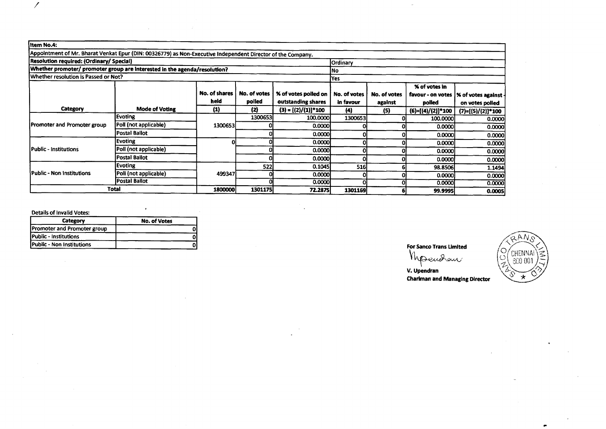| litem No.4:                                                                                                 |                       |               |              |                         |              |              |                     |                      |
|-------------------------------------------------------------------------------------------------------------|-----------------------|---------------|--------------|-------------------------|--------------|--------------|---------------------|----------------------|
| Appointment of Mr. Bharat Venkat Epur (DIN: 00326779) as Non-Executive Independent Director of the Company. |                       |               |              |                         |              |              |                     |                      |
| Resolution required: (Ordinary/ Special)<br><b>Ordinary</b>                                                 |                       |               |              |                         |              |              |                     |                      |
| Whether promoter/ promoter group are interested in the agenda/resolution?<br>INo.                           |                       |               |              |                         |              |              |                     |                      |
| Whether resolution is Passed or Not?                                                                        |                       |               |              |                         | Yes          |              |                     |                      |
|                                                                                                             |                       |               |              |                         |              |              | % of votes in       |                      |
|                                                                                                             |                       | No. of shares | No. of votes | % of votes polled on    | No. of votes | No. of votes | favour - on votes   | % of votes against - |
|                                                                                                             |                       | held          | polled       | outstanding shares      | in favour    | against      | polled              | on votes polled      |
| Category                                                                                                    | <b>Mode of Voting</b> | (1)           | (2)          | $(3) = [(2)/(1)]$ * 100 | (4)          | (5)          | $(6)=[(4)/(2)]*100$ | $(7)=[(5)/(2)]*100$  |
|                                                                                                             | <b>Evoting</b>        | 1300653       | 1300653      | 100.0000                | 1300653      |              | 100.0000            | 0.0000               |
| Promoter and Promoter group                                                                                 | Poll (not applicable) |               |              | 0.0000                  |              |              | 0.0000              | 0.0000               |
|                                                                                                             | Postal Ballot         |               |              | 0.0000                  |              |              | 0.0000              | 0.0000               |
|                                                                                                             | <b>Evoting</b>        |               |              | 0.0000                  | c            |              | 0.0000              | 0.0000               |
| l Public - Institutions                                                                                     | Poll (not applicable) |               |              | 0.0000                  | 0            |              | 0.0000              | 0.0000               |
|                                                                                                             | Postal Ballot         |               |              | 0.0000                  | ο            |              | 0.0000              | 0.0000               |
|                                                                                                             | <b>Evoting</b>        |               | 522          | 0.1045                  | <b>516</b>   |              | 98.8506             | 1.1494               |
| lPublic - Non Institutions                                                                                  | Poll (not applicable) | 499347        |              | 0.0000                  |              |              | 0.0000              | 0.0000               |
|                                                                                                             | <b>Postal Ballot</b>  |               |              | 0.0000                  | Ω            |              | 0.0000              | 0.0000               |
|                                                                                                             | Total                 | 1800000       | 1301175      | 72.2875]                | 1301169      |              | 99.9995             | 0.0005               |

### Details of Invalid Votes:

 $\overline{\mathscr{E}}$ 

| Category                     | <b>No. of Votes</b> |
|------------------------------|---------------------|
| Promoter and Promoter group  |                     |
| <b>Public - Institutions</b> |                     |
| Public - Non Institutions    |                     |

 $\mathcal{L}_{\mathcal{A}}$ 

For Sanco Trans Umited

Mpendan

V. Upendran Chariman and Managing Director GAN.

CHENNAI

600 001

Ö

N  $\star$   $\tilde{\leq}$ 

œ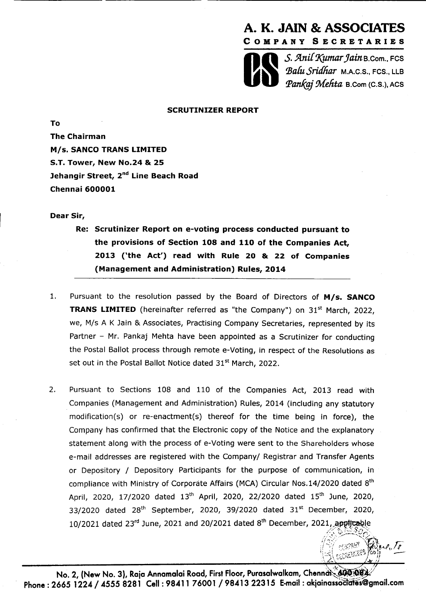



 $S.$  Anil Kumar Jain B.Com., FCS *~f?.hS&* **M.A.C.S., FCS., LLB par&g.j Melita B.Corn (C.S.). ACS** 

> CERRY **CREAMES**

# **SCRUTINIZER REPORT**

**The Chairman M/s. SANCO TRANS LIMITED S.T. Tower, New No.24** & **25 Jehangir Street, 2nd Line Beach Road Chennai 600001** 

## **Dear Sir,**

**To** 

- **Re: Scrutinizer Report on e-voting process conducted pursuant to the provisions of Section 108 and 110 of the Companies Act, 2013 ('the Act') read with Rule 20** & **22 of Companies (Management and Administration) Rules, 2014**
- 1. Pursuant to the resolution passed by the Board of Directors of **M/s. SANCO TRANS LIMITED** (hereinafter referred as "the Company") on 31<sup>st</sup> March, 2022, we, M/s A K Jain & Associates, Practising Company Secretaries, represented by its Partner - Mr. Pankaj Mehta have been appointed as a Scrutinizer for conducting the Postal Ballot process through remote e-Voting, in respect of the Resolutions as set out in the Postal Ballot Notice dated 31<sup>st</sup> March, 2022.
- 2. Pursuant to Sections 108 and 110 of the Companies Act, 2013 read with Companies (Management and Administration) Rules, 2014 (including any statutory modification(s) or re-enactment(s) thereof for the time being in force), the Company has confirmed that the Electronic copy of the Notice and the explanatory statement along with the process of e-Voting were sent to the Shareholders whose e-mail addresses are registered with the Company/ Registrar and Transfer Agents or Depository / Depository Participants for the purpose of communication, in compliance with Ministry of Corporate Affairs (MCA) Circular Nos.14/2020 dated 8<sup>th</sup> April, 2020, 17/2020 dated 13<sup>th</sup> April, 2020, 22/2020 dated 15<sup>th</sup> June, 2020, 33/2020 dated  $28<sup>th</sup>$  September, 2020, 39/2020 dated  $31<sup>st</sup>$  December, 2020, 10/2021 dated 23rd June, 2021 and 20/2021 dated 8<sup>th</sup> December, 2021, applicable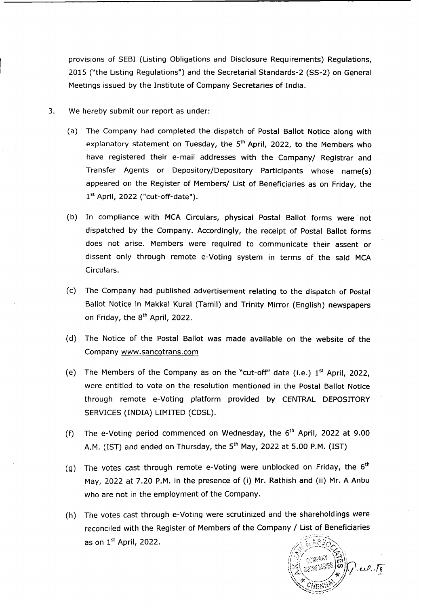provisions of SEBI (Listing Obligations and Disclosure Requirements) Regulations, 2015 ("the Listing Regulations") and the Secretarial Standards-2 (SS-2) on General Meetings issued by the Institute of Company Secretaries of India.

- **3.** We hereby submit our report as under:
	- (a) The Company had completed the dispatch of Postal Ballot Notice along with explanatory statement on Tuesday, the **5th** April, 2022, to the Members who have registered their e-mail addresses with the Company/ Registrar and Transfer Agents or Depository/Depository Participants whose name(s) appeared on the Register of Members/ List of Beneficiaries as on Friday, the 1<sup>st</sup> April, 2022 ("cut-off-date").
	- (b) In compliance with MCA Circulars, physical Postal Ballot forms were not dispatched by the Company. Accordingly, the receipt of Postal Ballot forms does not arise. Members were required to communicate their assent or dissent only through remote e-Voting system in terms of the said MCA Circulars.
	- (c) The Company had published advertisement relating to the dispatch of Postal Ballot Notice in Makkal Kural (Tamil) and Trinity Mirror (English) newspapers on Friday, the **8th** April, 2022.
	- (d) The Notice of the Postal Ballot was made available on the website of the Company www.sancotrans.com
	- (e) The Members of the Company as on the "cut-off" date (i.e.) 1<sup>st</sup> April, 2022, were entitled to vote on the resolution mentioned in the Postal Ballot Notice through remote e-Voting platform provided by CENTRAL DEPOSITORY SERVICES (INDIA) LIMITED (CDSL).
	- (f) The e-Voting period commenced on Wednesday, the **6th** April, 2022 at 9.00 A.M. (IST) and ended on Thursday, the **sth** May, 2022 at 5.00 P.M. (IST)
	- (g) The votes cast through remote e-Voting were unblocked on Friday, the **6th**  May, 2022 at 7.20 P.M. in the presence of (i) Mr. Rathish and (ii) Mr. A Anbu who are not in the employment of the Company.
	- (h) The votes cast through e-Voting were scrutinized and the shareholdings were reconciled with the Register of Members of the Company / List of Beneficiaries as on  $1<sup>st</sup>$  April, 2022.

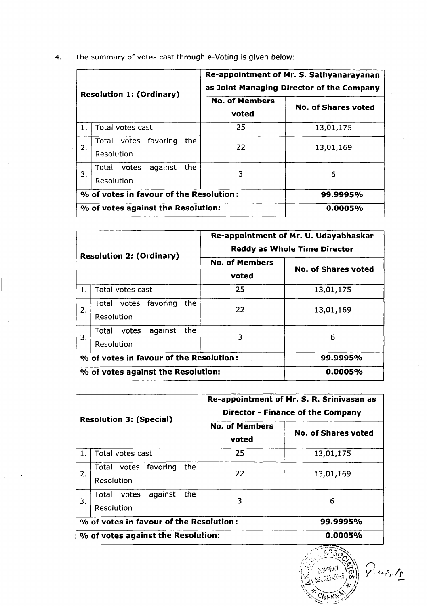| 4. |  |  | The summary of votes cast through e-Voting is given below: |
|----|--|--|------------------------------------------------------------|
|    |  |  |                                                            |

| <b>Resolution 1: (Ordinary)</b> |                                                | Re-appointment of Mr. S. Sathyanarayanan<br>as Joint Managing Director of the Company |                     |  |  |
|---------------------------------|------------------------------------------------|---------------------------------------------------------------------------------------|---------------------|--|--|
|                                 |                                                | <b>No. of Members</b><br>voted                                                        | No. of Shares voted |  |  |
| 1.                              | Total votes cast                               | 25                                                                                    | 13,01,175           |  |  |
| 2.                              | Total votes favoring<br>the.<br>Resolution     | 22                                                                                    | 13,01,169           |  |  |
| 3.                              | the<br>against<br>Total<br>votes<br>Resolution | 3                                                                                     | 6                   |  |  |
|                                 | % of votes in favour of the Resolution:        |                                                                                       | 99.9995%            |  |  |
|                                 | % of votes against the Resolution:             |                                                                                       | 0.0005%             |  |  |

| <b>Resolution 2: (Ordinary)</b> |                                             | Re-appointment of Mr. U. Udayabhaskar<br><b>Reddy as Whole Time Director</b> |                            |  |  |
|---------------------------------|---------------------------------------------|------------------------------------------------------------------------------|----------------------------|--|--|
|                                 |                                             | <b>No. of Members</b><br>voted                                               | <b>No. of Shares voted</b> |  |  |
| 1.                              | Total votes cast                            | 25                                                                           | 13,01,175                  |  |  |
| 2.                              | Total votes favoring<br>the.<br>Resolution  | 22                                                                           | 13,01,169                  |  |  |
| 3.                              | the<br>against<br>Total votes<br>Resolution | 3                                                                            | 6                          |  |  |
|                                 | % of votes in favour of the Resolution:     | 99.9995%                                                                     |                            |  |  |
|                                 | % of votes against the Resolution:          |                                                                              | 0.0005%                    |  |  |

| <b>Resolution 3: (Special)</b> |                                                 | Re-appointment of Mr. S. R. Srinivasan as<br><b>Director - Finance of the Company</b> |                     |  |  |
|--------------------------------|-------------------------------------------------|---------------------------------------------------------------------------------------|---------------------|--|--|
|                                |                                                 | <b>No. of Members</b><br>voted                                                        | No. of Shares voted |  |  |
| 1.                             | Total votes cast                                | 25                                                                                    | 13,01,175           |  |  |
| 2.                             | Total votes favoring<br>the.<br>Resolution      | 22                                                                                    | 13,01,169           |  |  |
| 3.                             | against<br>the.<br>Total<br>votes<br>Resolution | 3                                                                                     | 6                   |  |  |
|                                | % of votes in favour of the Resolution:         |                                                                                       | 99.9995%            |  |  |
|                                | % of votes against the Resolution:              | 0.0005%                                                                               |                     |  |  |



 $\sqrt{2}u^2+\sqrt{2}$